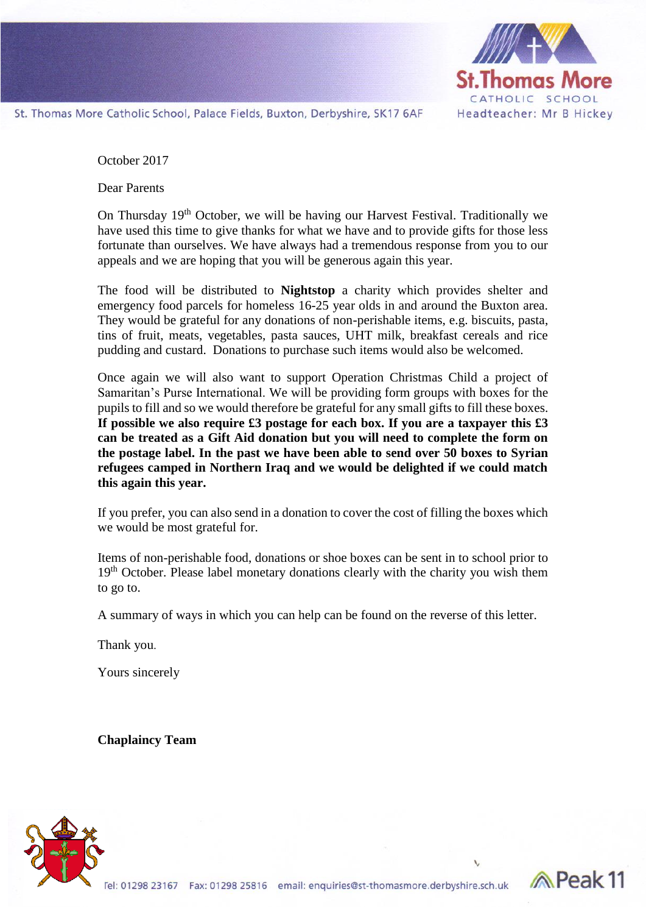

**Reak11** 

St. Thomas More Catholic School, Palace Fields, Buxton, Derbyshire, SK17 6AF

October 2017

Dear Parents

On Thursday 19<sup>th</sup> October, we will be having our Harvest Festival. Traditionally we have used this time to give thanks for what we have and to provide gifts for those less fortunate than ourselves. We have always had a tremendous response from you to our appeals and we are hoping that you will be generous again this year.

The food will be distributed to **Nightstop** a charity which provides shelter and emergency food parcels for homeless 16-25 year olds in and around the Buxton area. They would be grateful for any donations of non-perishable items, e.g. biscuits, pasta, tins of fruit, meats, vegetables, pasta sauces, UHT milk, breakfast cereals and rice pudding and custard. Donations to purchase such items would also be welcomed.

Once again we will also want to support Operation Christmas Child a project of Samaritan's Purse International. We will be providing form groups with boxes for the pupils to fill and so we would therefore be grateful for any small gifts to fill these boxes. **If possible we also require £3 postage for each box. If you are a taxpayer this £3 can be treated as a Gift Aid donation but you will need to complete the form on the postage label. In the past we have been able to send over 50 boxes to Syrian refugees camped in Northern Iraq and we would be delighted if we could match this again this year.** 

If you prefer, you can also send in a donation to cover the cost of filling the boxes which we would be most grateful for.

Items of non-perishable food, donations or shoe boxes can be sent in to school prior to 19<sup>th</sup> October. Please label monetary donations clearly with the charity you wish them to go to.

A summary of ways in which you can help can be found on the reverse of this letter.

Thank you.

Yours sincerely

**Chaplaincy Team**